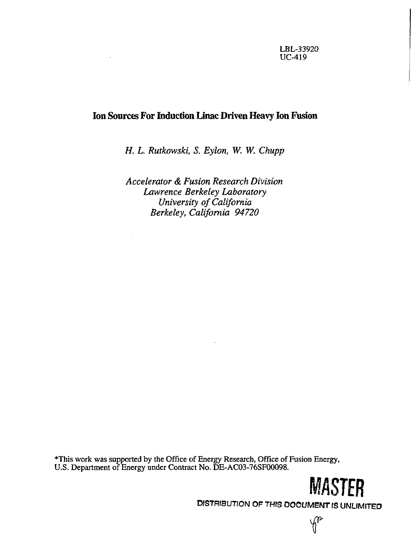# **Ion Sources For Induction Linac Driven Heavy Ion Fusion**

*H. L. Rutkowski, S. Eylon, W. W. Chupp* 

*Accelerator & Fusion Research Division Lawrence Berkeley Laboratory University of California Berkeley, California 94720* 

\*This work was supported by the Office of Energy Research, Office of Fusion Energy, U.S. Department of Energy under Contract No. DE-AC03-76SF00098.

DISTRIBUTION OF THIS DOCUMENT IS UNLIMITED

**MASTER** 

p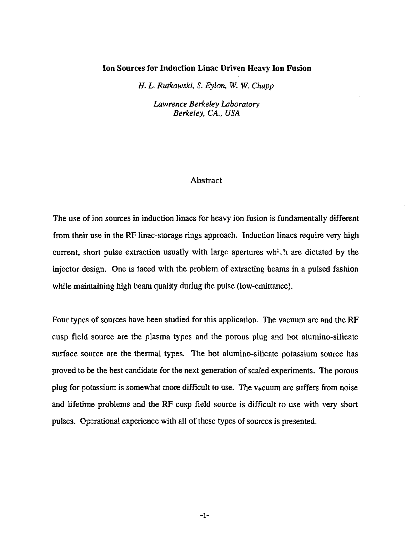## **Ion Sources for Induction Linac Driven Heavy Ion Fusion**

*H. L. Rutkowski, S. Eylon, W. W. Chupp* 

*Lawrence Berkeley Laboratory Berkeley, CA., USA* 

## Abstract

The use of ion sources in induction linacs for heavy ion fusion is fundamentally different from their use in the RF linac-storage rings approach. Induction linacs require very high current, short pulse extraction usually with large apertures which are dictated by the injector design. One is faced with the problem of extracting beams in a pulsed fashion while maintaining high beam quality during the pulse (low-emittance).

Four types of sources have been studied for this application. The vacuum arc and the RF cusp field source are the plasma types and the porous plug and hot alumino-silicate surface source are the thermal types. The hot alumino-silicate potassium source has proved to be the best candidate for the next generation of scaled experiments. The porous plug for potassium is somewhat more difficult to use. The vacuum arc suffers from noise and lifetime problems and the RF cusp field source is difficult to use with very short pulses. Operational experience with all of these types of sources is presented.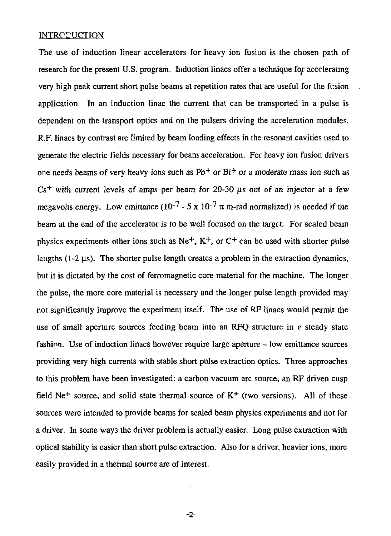## **INTRODUCTION**

The use of induction linear accelerators for heavy ion fusion is the chosen path of research for the present U.S. program. Induction linacs offer a technique for accelerating very high peak current short pulse beams at repetition rates that are useful for the fusion application. In an induction linac the current that can be transported in a pulse is dependent on the transport optics and on the pulsers driving the acceleration modules. R.F. linacs by contrast are limited by beam loading effects in the resonant cavities used to generate the electric fields necessary for beam acceleration. For heavy ion fusion drivers one needs beams of very heavy ions such as  $Pb<sup>+</sup>$  or  $Bi<sup>+</sup>$  or a moderate mass ion such as  $Cs<sup>+</sup>$  with current levels of amps per beam for 20-30  $\mu s$  out of an injector at a few megavolts energy. Low emittance  $(10^{-7} - 5 \times 10^{-7} \pi \text{ m-rad normalized})$  is needed if the beam at the end of the accelerator is to be well focused on the target. For scaled beam physics experiments other ions such as  $Ne^+$ ,  $K^+$ , or  $C^+$  can be used with shorter pulse lengths  $(1-2 \mu s)$ . The shorter pulse length creates a problem in the extraction dynamics, but it is dictated by the cost of ferromagnetic core material for the machine. The longer the pulse, the more core material is necessary and the longer pulse length provided may not significantly improve the experiment itself. The use of RF linacs would permit the use of small aperture sources feeding beam into an RFQ structure in *s* steady state fashion. Use of induction linacs however require large aperture - low emittance sources providing very high currents with stable short pulse extraction optics. Three approaches to this problem have been investigated: a carbon vacuum arc source, an RF driven cusp field Ne<sup>+</sup> source, and solid state thermal source of  $K<sup>+</sup>$  (two versions). All of these sources were intended to provide beams for scaled beam physics experiments and not for a driver. In some ways the driver problem is actually easier. Long pulse extraction with optical stability is easier than short pulse extraction. Also for a driver, heavier ions, more easily provided in a thermal source are of interest.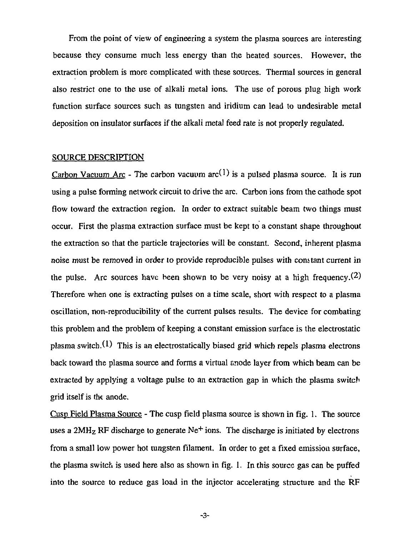From the point of view of engineering a system the plasma sources are interesting because they consume much less energy than the heated sources. However, the extraction problem is more complicated with these sources. Thermal sources in general also restrict one to the use of alkali metal ions. The use of porous plug high work function surface sources such as tungsten and iridium can lead to undesirable metal deposition on insulator surfaces if the alkali metal feed rate is not properly regulated.

### SOURCE DESCRIPTION

Carbon Vacuum Arc - The carbon vacuum  $arc^{(1)}$  is a pulsed plasma source. It is run using a pulse forming network circuit to drive the arc. Carbon ions from the cathode spot flow toward the extraction region. In order to extract suitable beam two things must occur. First the plasma extraction surface must be kept to a constant shape throughout the extraction so that the particle trajectories will be constant. Second, inherent plasma noise must be removed in order to provide reproducible pulses with constant current in the pulse. Arc sources have been shown to be very noisy at a high frequency.  $(2)$ Therefore when one is extracting pulses on a time scale, short with respect to a plasma oscillation, non-reproducibility of the current pulses results. The device for combating this problem and the problem of keeping a constant emission surface is the electrostatic plasma switch. $(1)$  This is an electrostatically biased grid which repels plasma electrons back toward the plasma source and forms a virtual anode layer from which beam can be extracted by applying a voltage pulse to an extraction gap in which the plasma switch grid itself is the anode.

Cusp Field Plasma Source - The cusp field plasma source is shown in fig. 1. The source uses a 2MH<sub>Z</sub> RF discharge to generate Ne<sup>+</sup> ions. The discharge is initiated by electrons from a small low power hot tungsten filament. In order to get a fixed emission surface, the plasma switch is used here also as shown in fig. 1. In this source gas can be puffed into the source to reduce gas load in the injector accelerating structure and the RF

**-3-**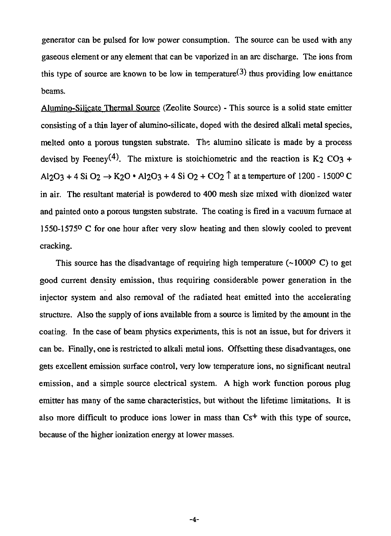generator can be pulsed for low power consumption. The source can be used with any gaseous element or any element that can be vaporized in an arc discharge. The ions from this type of source are known to be low in temperature<sup>(3)</sup> thus providing low emittance beams.

Alumino-Silicate Thermal Source (Zeolite Source) - This source is a solid state emitter consisting of a thin layer of alumino-silicate, doped with the desired alkali metal species, melted onto a porous tungsten substrate. The alumino silicate is made by a process devised by Feeney<sup>(4)</sup>. The mixture is stoichiometric and the reaction is K<sub>2</sub> CO<sub>3</sub> + Al2O3 + 4 Si O2  $\rightarrow$  K2O • Al2O3 + 4 Si O2 + CO2  $\uparrow$  at a temperture of 1200 - 1500° C in air. The resultant material is powdered to 400 mesh size mixed with dionized water and painted onto a porous tungsten substrate. The coating is fired in a vacuum fumace at 1550-1575° C for one hour after very slow heating and then slowly cooled to prevent cracking.

This source has the disadvantage of requiring high temperature  $(-10000 \text{ C})$  to get good current density emission, thus requiring considerable power generation in the injector system and also removal of the radiated heat emitted into the accelerating structure. Also the supply of ions available from a source is limited by the amount in the coating. In the case of beam physics experiments, this is not an issue, but for drivers it can be. Finally, one is restricted to alkali metal ions. Offsetting these disadvantages, one gets excellent emission surface control, very low temperature ions, no significant neutral emission, and a simple source electrical system. A high work function porous plug emitter has many of the same characteristics, but without the lifetime limitations. It is also more difficult to produce ions lower in mass than  $Cs<sup>+</sup>$  with this type of source, because of the higher ionization energy at lower masses.

**-4-**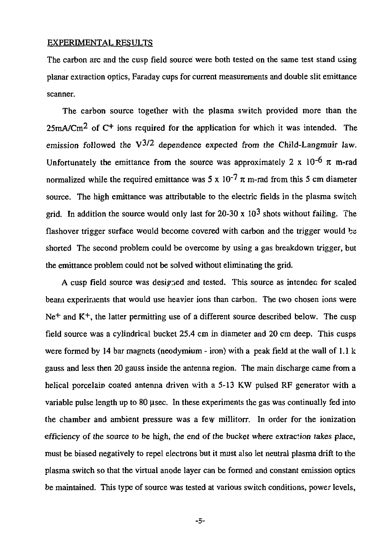## EXPERIMENTAL RESULTS

The carbon arc and the cusp field source were both tested on the same test stand using planar extraction optics, Faraday cups for current measurements and double slit emittance scanner.

The carbon source together with the plasma switch provided more than the  $25 \text{mA/Cm}^2$  of C<sup>+</sup> ions required for the application for which it was intended. The emission followed the  $V^{3/2}$  dependence expected from the Child-Langmuir law. Unfortunately the emittance from the source was approximately 2 x  $10^{-6}$   $\pi$  m-rad normalized while the required emittance was  $5 \times 10^{-7}$  *K* m-rad from this 5 cm diameter source. The high emittance was attributable to the electric fields in the plasma switch grid. In addition the source would only last for 20-30 x  $10^3$  shots without failing. The flashover trigger surface would become covered with carbon and the trigger would bs shorted The second problem could be overcome by using a gas breakdown trigger, but the emittance problem could not be solved without eliminating the grid.

A cusp field source was designed and tested. This source as intended for scaled beam experiments that would use heavier ions than carbon. The two chosen ions were Ne<sup>+</sup> and K<sup>+</sup>, the latter permitting use of a different source described below. The cusp field source was a cylindrical bucket 25.4 cm in diameter and 20 cm deep. This cusps were formed by 14 bar magnets (neodymium - iron) with a peak field at the wall of  $1.1 \text{ k}$ gauss and less then 20 gauss inside the antenna region. The main discharge came from a helical porcelain coated antenna driven with a 5-13 KW pulsed RF generator with a variable pulse length up to 80 usec. In these experiments the gas was continually fed into the chamber and ambient pressure was a few millitorr. In order for the ionization efficiency of the source to be high, the end of the bucket where extraction lakes place, must be biased negatively to repel electrons but it must also let neutral plasma drift to the plasma switch so that the virtual anode layer can be formed and constant emission optics be maintained. This type of source was tested at various switch conditions, power levels,

**-5-**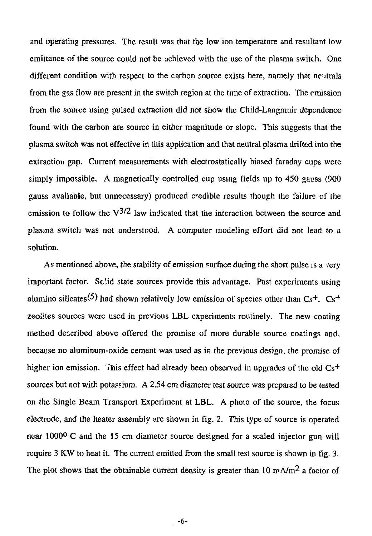and operating pressures. The result was that the low ion temperature and resultant low emittance of the source could not be achieved with the use of the plasma switch. One different condition with respect to the carbon source exists here, namely that neutrals from the gas flow are present in the switch region at the time of extraction. The emission from the source using pulsed extraction did not show the Child-Langmuir dependence found with the carbon are source in either magnitude or slope. This suggests that the plasma switch was not effective in this application and that neutral plasma drifted into the extraction gap. Current measurements with electrostatically biased faraday cups were simply impossible. A magnetically controlled cup using fields up to 450 gauss (900 gauss available, but unnecessary) produced credible results though the failure of the emission to follow the  $\sqrt{3/2}$  law indicated that the interaction between the source and plasma switch was not understood. A computer modeling effort did not lead to a solution.

As mentioned above, the stability of emission surface during the short pulse is a very important factor. Solid state sources provide this advantage. Past experiments using alumino silicates<sup>(5)</sup> had shown relatively low emission of species other than  $Cs<sup>+</sup>$ .  $Cs<sup>+</sup>$ zeolites sources were used in previous LBL experiments routinely. The new coating method described above offered the promise of more durable source coatings and, because no aluminum-oxide cement was used as in the previous design, the promise of higher ion emission. This effect had already been observed in upgrades of the old  $Cs<sup>+</sup>$ sources but not with potassium. A 2.54 cm diameter test source was prepared to be tested on the Single Beam Transport Experiment at LBL. A photo of the source, the focus electrode, and the heater assembly are shown in fig. 2. This type of source is operated near 1000° C and the 15 cm diameter source designed for a scaled injector gun will require 3 KW to heat it. The current emitted from the small test source is shown in fig. 3. The plot shows that the obtainable current density is greater than  $10 \text{ mA/m}^2$  a factor of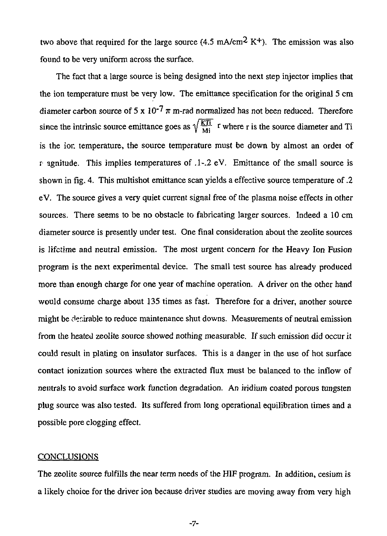two above that required for the large source  $(4.5 \text{ mA/cm}^2 \text{ K}^+)$ . The emission was also found to be very uniform across the surface.

The fact that a large source is being designed into the next step injector implies that the ion temperature must be very low. The emittance specification for the original 5 cm diameter carbon source of  $5 \times 10^{-7} \pi$  m-rad normalized has not been reduced. Therefore since the intrinsic source emittance goes as  $\sqrt{\frac{KT}{M}}$  **r** where r is the source diameter and Ti is the ion temperature, the source temperature must be down by almost an ordei of r agnitude. This implies temperatures of .1-.2 eV. Emjttance of the small source is shown in fig. 4. This multishot emittance scan yields a effective source temperature of .2 eV. The source gives a very quiet current signal free of the plasma noise effects in other sources. There seems to be no obstacle to fabricating larger sources. Indeed a 10 cm diameter source is presently under test. One final consideration about the zeolite sources is lifetime and neutral emission. The most urgent concern for the Heavy Ion Fusion program is the next experimental device. The small test source has already produced more than enough charge for one year of machine operation. A driver on the other hand would consume charge about 135 times as fast. Therefore for a driver, another source might be desirable to reduce maintenance shut downs. Measurements of neutral emission from the heated zeolite source showed nothing measurable. If such emission did occur it could result in plating on insulator surfaces. This is a danger in the use of hot surface contact ionization sources where the extracted flux must be balanced to the inflow of neutrals to avoid surface work function degradation. An iridium coated porous tungsten plug source was also tested. Its suffered from long operational equilibration times and a possible pore clogging effect.

## **CONCLUSIONS**

The zeolite source fulfills the near term needs of the HIF program. In addition, cesium is a likely choice for the driver ion because driver studies are moving away from very high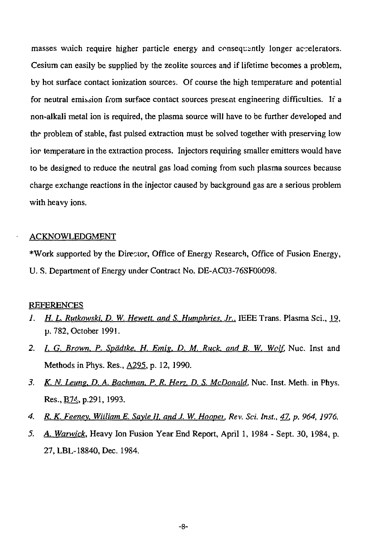masses wuich require higher particle energy and consequently longer accelerators. Cesium can easily be supplied by the zeolite sources and if lifetime becomes a problem, by hot surface contact ionization sources. Of course the high temperature and potential for neutral emission from surface contact sources present engineering difficulties. If a non-alkali metal ion is required, the plasma source will have to be further developed and the problem of stable, fast pulsed extraction must be solved together with preserving low ior temperature in the extraction process. Injectors requiring smaller emitters would have to be designed to reduce the neutral gas load coming from such plasma sources because charge exchange reactions in the injector caused by background gas are a serious problem with heavy ions.

#### ACKNOWLEDGMENT

\*Work supported by the Director, Office of Energy Research, Office of Fusion Energy, U. S. Department of Energy under Contract No. DE-AC03-76SF00098.

## REFERENCES

- *1. H. L. Rutkowski, D. W. Hewett, and S. Humphries, Jr.*, IEEE Trans. Plasma Sci., 19, p. 782, October 1991.
- 2. /. *G. Brown. P. Spadtke. H. Emig. D. M. Ruck, and B. W. Wolf.* Nuc. Inst and Methods in Phys. Res., A295. p. 12,1990.
- *3. K. N. Leung. D. A. Bachman. P. R. Hen. D. S. McDonald,* Nuc. Inst. Meth. in Phys. Res., **B**74, p.291, 1993.
- *4. R. K. Feenev. William E. Savle 11. and J. W. Hoopei. Rev. Sci. Inst., 47, p. 964, 1976.*
- *5. A. Warwick.* Heavy Ion Fusion Year End Report, April 1, 1984 Sept. 30, 1984, p. 27,LBL-18840,Dec. 1984.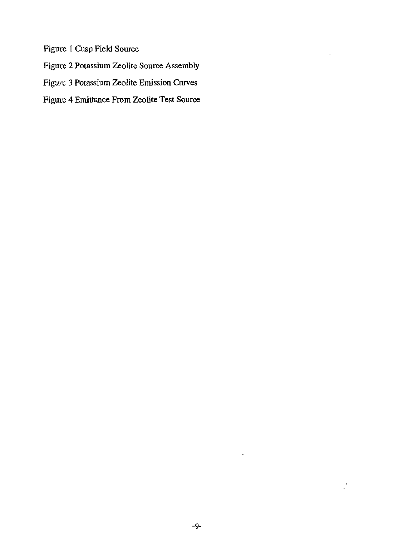Figure 1 Cusp Field Source

Figure 2 Potassium Zeolite Source Assembly

Figure 3 Potassium Zeolite Emission Curves

Figure 4 Emittance From Zeolite Test Source

 $\ddot{\phantom{0}}$ 

 $\bullet$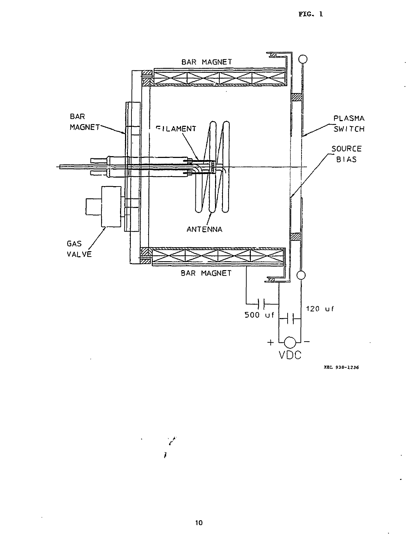

XBL 938-1236

 $\ddot{\phantom{a}}$ 

 $10$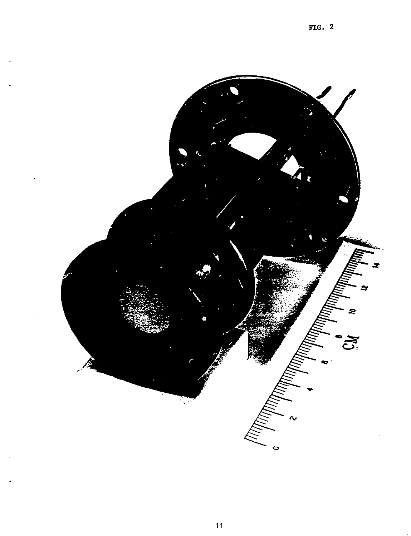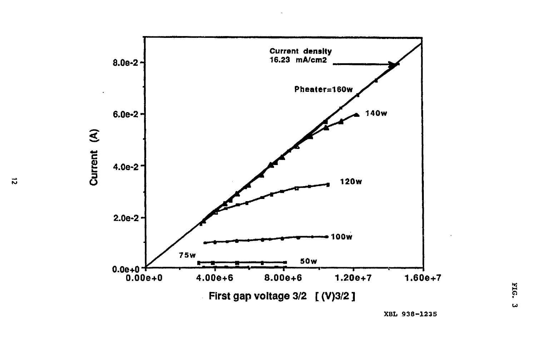

**XBL 938-1235** 

 $\vec{v}$